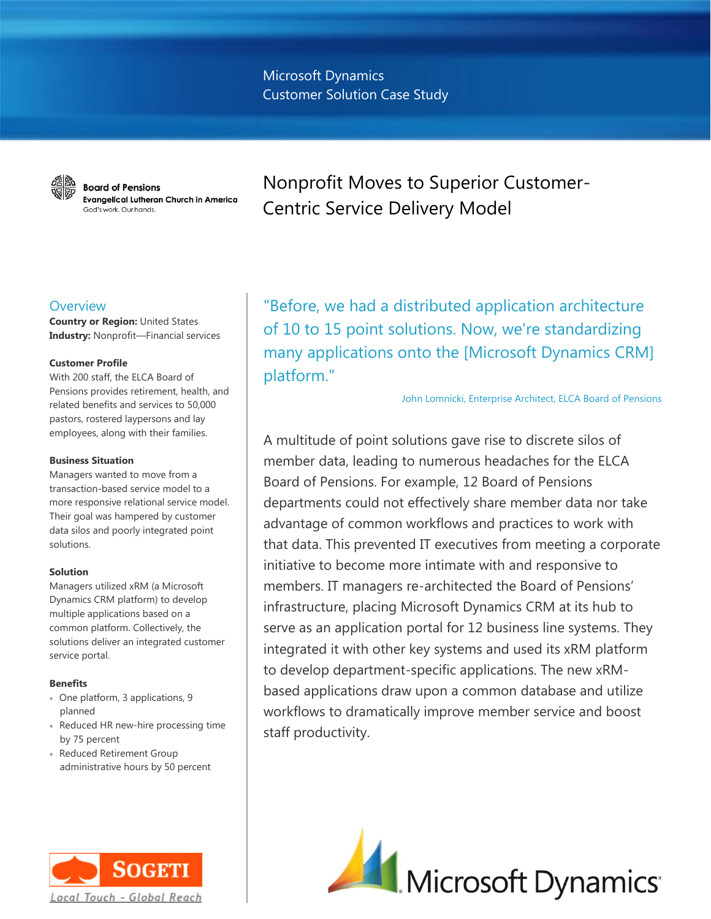Microsoft Dynamics Customer Solution Case Study



**Board of Pensions Evangelical Lutheran Church in America** God's work, Our hands.

Nonprofit Moves to Superior Customer-Centric Service Delivery Model

## **Overview**

**Country or Region:** United States **Industry:** Nonprofit—Financial services

## **Customer Profile**

With 200 staff, the ELCA Board of Pensions provides retirement, health, and related benefits and services to 50,000 pastors, rostered laypersons and lay employees, along with their families.

## **Business Situation**

Managers wanted to move from a transaction-based service model to a more responsive relational service model. Their goal was hampered by customer data silos and poorly integrated point solutions.

### **Solution**

Managers utilized xRM (a Microsoft Dynamics CRM platform) to develop multiple applications based on a common platform. Collectively, the solutions deliver an integrated customer service portal.

## **Benefits**

- One platform, 3 applications, 9 planned
- Reduced HR new-hire processing time by 75 percent
- Reduced Retirement Group administrative hours by 50 percent



"Before, we had a distributed application architecture of 10 to 15 point solutions. Now, we're standardizing many applications onto the [Microsoft Dynamics CRM] platform."

John Lomnicki, Enterprise Architect, ELCA Board of Pensions

A multitude of point solutions gave rise to discrete silos of member data, leading to numerous headaches for the ELCA Board of Pensions. For example, 12 Board of Pensions departments could not effectively share member data nor take advantage of common workflows and practices to work with that data. This prevented IT executives from meeting a corporate initiative to become more intimate with and responsive to members. IT managers re-architected the Board of Pensions' infrastructure, placing Microsoft Dynamics CRM at its hub to serve as an application portal for 12 business line systems. They integrated it with other key systems and used its xRM platform to develop department-specific applications. The new xRMbased applications draw upon a common database and utilize workflows to dramatically improve member service and boost staff productivity.

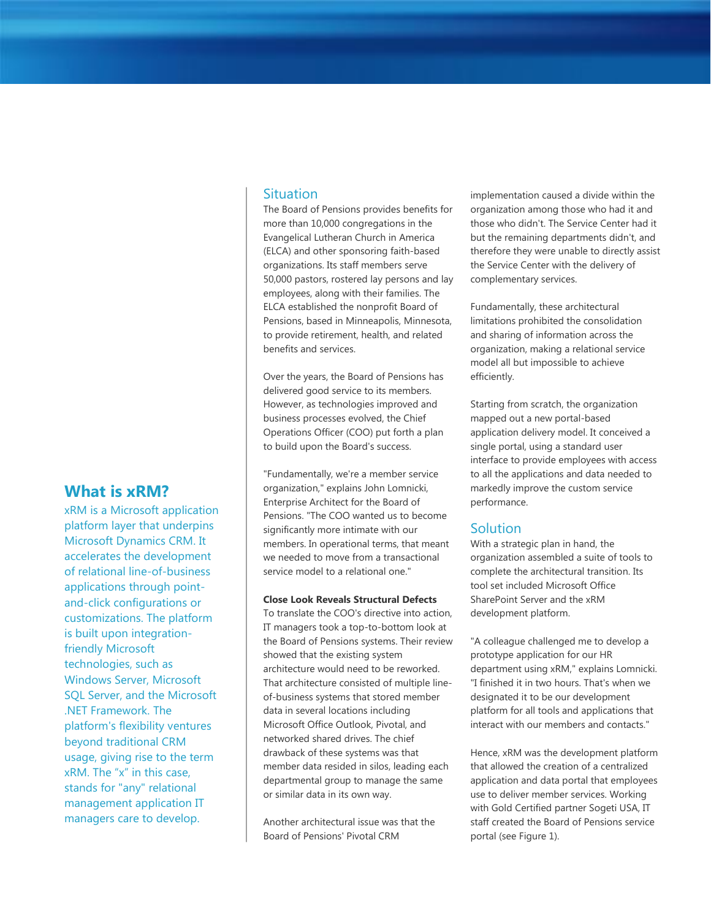# **Situation**

The Board of Pensions provides benefits for more than 10,000 congregations in the Evangelical Lutheran Church in America (ELCA) and other sponsoring faith-based organizations. Its staff members serve 50,000 pastors, rostered lay persons and lay employees, along with their families. The ELCA established the nonprofit Board of Pensions, based in Minneapolis, Minnesota, to provide retirement, health, and related benefits and services.

Over the years, the Board of Pensions has delivered good service to its members. However, as technologies improved and business processes evolved, the Chief Operations Officer (COO) put forth a plan to build upon the Board's success.

"Fundamentally, we're a member service organization," explains John Lomnicki, Enterprise Architect for the Board of Pensions. "The COO wanted us to become significantly more intimate with our members. In operational terms, that meant we needed to move from a transactional service model to a relational one."

## **Close Look Reveals Structural Defects**

To translate the COO's directive into action, IT managers took a top-to-bottom look at the Board of Pensions systems. Their review showed that the existing system architecture would need to be reworked. That architecture consisted of multiple lineof-business systems that stored member data in several locations including Microsoft Office Outlook, Pivotal, and networked shared drives. The chief drawback of these systems was that member data resided in silos, leading each departmental group to manage the same or similar data in its own way.

Another architectural issue was that the Board of Pensions' Pivotal CRM

implementation caused a divide within the organization among those who had it and those who didn't. The Service Center had it but the remaining departments didn't, and therefore they were unable to directly assist the Service Center with the delivery of complementary services.

Fundamentally, these architectural limitations prohibited the consolidation and sharing of information across the organization, making a relational service model all but impossible to achieve efficiently.

Starting from scratch, the organization mapped out a new portal-based application delivery model. It conceived a single portal, using a standard user interface to provide employees with access to all the applications and data needed to markedly improve the custom service performance.

## **Solution**

With a strategic plan in hand, the organization assembled a suite of tools to complete the architectural transition. Its tool set included Microsoft Office SharePoint Server and the xRM development platform.

"A colleague challenged me to develop a prototype application for our HR department using xRM," explains Lomnicki. "I finished it in two hours. That's when we designated it to be our development platform for all tools and applications that interact with our members and contacts."

Hence, xRM was the development platform that allowed the creation of a centralized application and data portal that employees use to deliver member services. Working with Gold Certified partner Sogeti USA, IT staff created the Board of Pensions service portal (see Figure 1).

# **What is xRM?**

xRM is a Microsoft application platform layer that underpins Microsoft Dynamics CRM. It accelerates the development of relational line-of-business applications through pointand-click configurations or customizations. The platform is built upon integrationfriendly Microsoft technologies, such as Windows Server, Microsoft SQL Server, and the Microsoft .NET Framework. The platform's flexibility ventures beyond traditional CRM usage, giving rise to the term xRM. The "x" in this case, stands for "any" relational management application IT managers care to develop.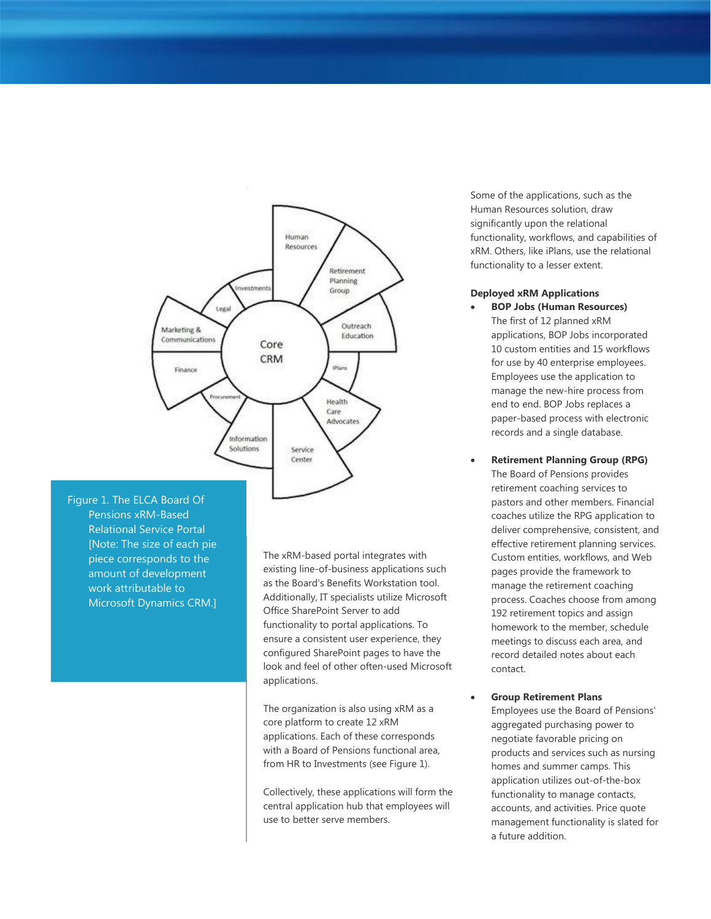

Figure 1. The ELCA Board Of Pensions xRM-Based Relational Service Portal [Note: The size of each pie piece corresponds to the amount of development work attributable to Microsoft Dynamics CRM.]

The xRM-based portal integrates with existing line-of-business applications such as the Board's Benefits Workstation tool. Additionally, IT specialists utilize Microsoft Office SharePoint Server to add functionality to portal applications. To ensure a consistent user experience, they configured SharePoint pages to have the look and feel of other often-used Microsoft applications.

The organization is also using xRM as a core platform to create 12 xRM applications. Each of these corresponds with a Board of Pensions functional area, from HR to Investments (see Figure 1).

Collectively, these applications will form the central application hub that employees will use to better serve members.

Some of the applications, such as the Human Resources solution, draw significantly upon the relational functionality, workflows, and capabilities of xRM. Others, like iPlans, use the relational functionality to a lesser extent.

## **Deployed xRM Applications**

- **BOP Jobs (Human Resources)** The first of 12 planned xRM applications, BOP Jobs incorporated 10 custom entities and 15 workflows for use by 40 enterprise employees. Employees use the application to manage the new-hire process from end to end. BOP Jobs replaces a paper-based process with electronic records and a single database.
- **Retirement Planning Group (RPG)** The Board of Pensions provides retirement coaching services to pastors and other members. Financial coaches utilize the RPG application to deliver comprehensive, consistent, and effective retirement planning services. Custom entities, workflows, and Web pages provide the framework to manage the retirement coaching process. Coaches choose from among 192 retirement topics and assign homework to the member, schedule meetings to discuss each area, and record detailed notes about each contact.
- **Group Retirement Plans**

Employees use the Board of Pensions' aggregated purchasing power to negotiate favorable pricing on products and services such as nursing homes and summer camps. This application utilizes out-of-the-box functionality to manage contacts, accounts, and activities. Price quote management functionality is slated for a future addition.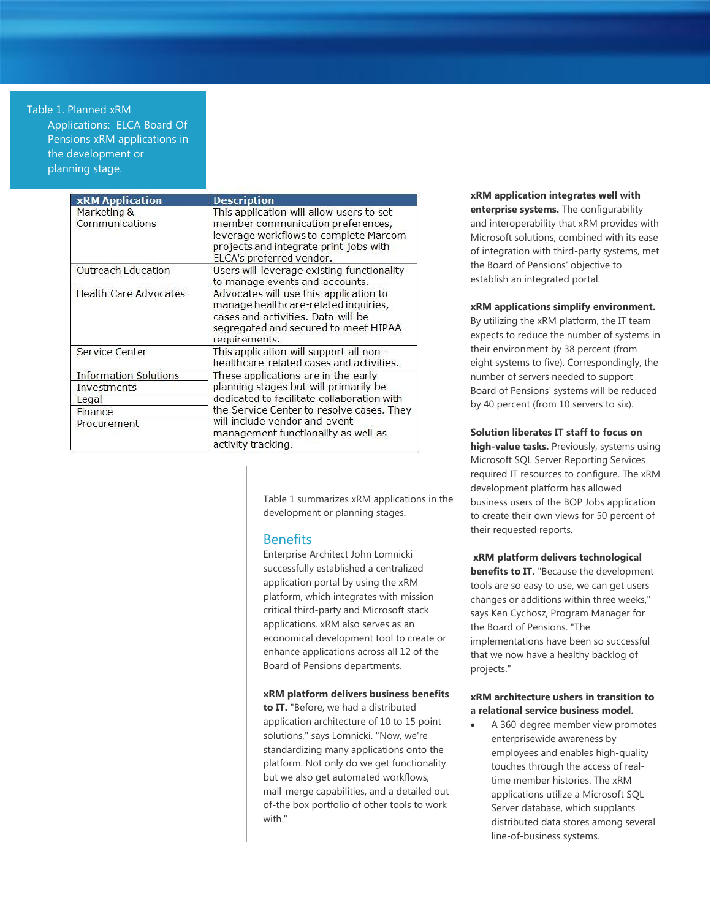#### Table 1. Planned xRM

Applications: ELCA Board Of Pensions xRM applications in the development or planning stage.

| <b>xRM Application</b>        | <b>Description</b>                                                                                                                                                                           |
|-------------------------------|----------------------------------------------------------------------------------------------------------------------------------------------------------------------------------------------|
| Marketing &<br>Communications | This application will allow users to set<br>member communication preferences,<br>leverage workflows to complete Marcom<br>projects and integrate print jobs with<br>ELCA's preferred vendor. |
| <b>Outreach Education</b>     | Users will leverage existing functionality<br>to manage events and accounts.                                                                                                                 |
| <b>Health Care Advocates</b>  | Advocates will use this application to<br>manage healthcare-related inquiries,<br>cases and activities. Data will be<br>segregated and secured to meet HIPAA<br>requirements.                |
| Service Center                | This application will support all non-<br>healthcare-related cases and activities.                                                                                                           |
| <b>Information Solutions</b>  | These applications are in the early                                                                                                                                                          |
| Investments                   | planning stages but will primarily be<br>dedicated to facilitate collaboration with<br>the Service Center to resolve cases. They                                                             |
| Legal                         |                                                                                                                                                                                              |
| Finance                       |                                                                                                                                                                                              |
| Procurement                   | will include vendor and event<br>management functionality as well as<br>activity tracking.                                                                                                   |

Table 1 summarizes xRM applications in the development or planning stages.

## **Benefits**

Enterprise Architect John Lomnicki successfully established a centralized application portal by using the xRM platform, which integrates with missioncritical third-party and Microsoft stack applications. xRM also serves as an economical development tool to create or enhance applications across all 12 of the Board of Pensions departments.

#### **xRM platform delivers business benefits**

**to IT.** "Before, we had a distributed application architecture of 10 to 15 point solutions," says Lomnicki. "Now, we're standardizing many applications onto the platform. Not only do we get functionality but we also get automated workflows, mail-merge capabilities, and a detailed outof-the box portfolio of other tools to work with."

**xRM application integrates well with enterprise systems.** The configurability and interoperability that xRM provides with Microsoft solutions, combined with its ease of integration with third-party systems, met the Board of Pensions' objective to establish an integrated portal.

## **xRM applications simplify environment.**

By utilizing the xRM platform, the IT team expects to reduce the number of systems in their environment by 38 percent (from eight systems to five). Correspondingly, the number of servers needed to support Board of Pensions' systems will be reduced by 40 percent (from 10 servers to six).

#### **Solution liberates IT staff to focus on**

**high-value tasks.** Previously, systems using Microsoft SQL Server Reporting Services required IT resources to configure. The xRM development platform has allowed business users of the BOP Jobs application to create their own views for 50 percent of their requested reports.

#### **xRM platform delivers technological**

**benefits to IT.** "Because the development tools are so easy to use, we can get users changes or additions within three weeks," says Ken Cychosz, Program Manager for the Board of Pensions. "The implementations have been so successful that we now have a healthy backlog of projects."

### **xRM architecture ushers in transition to a relational service business model.**

 A 360-degree member view promotes enterprisewide awareness by employees and enables high-quality touches through the access of realtime member histories. The xRM applications utilize a Microsoft SQL Server database, which supplants distributed data stores among several line-of-business systems.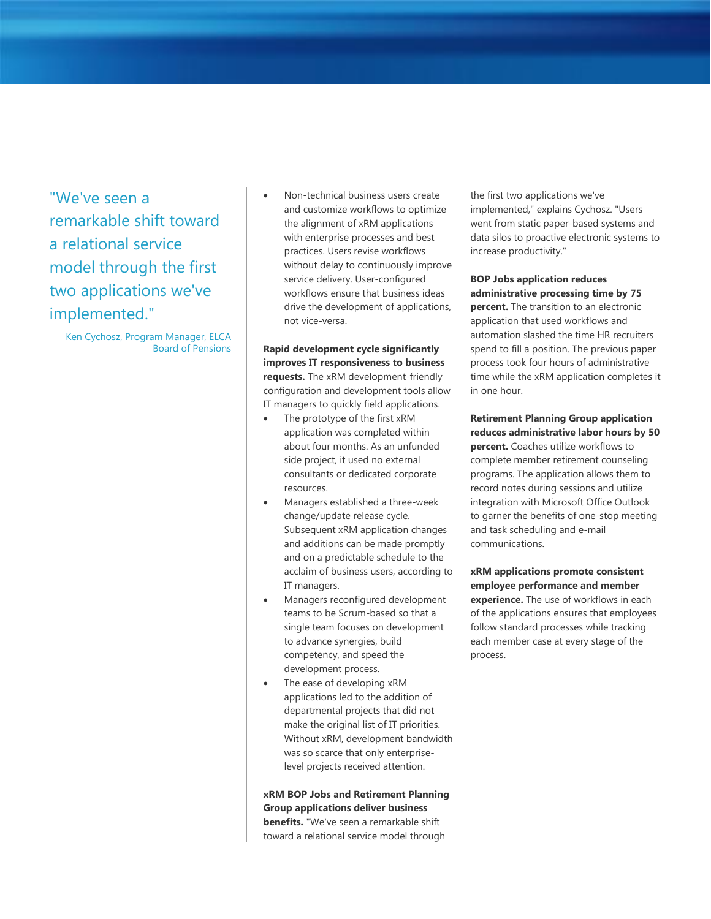"We've seen a remarkable shift toward a relational service model through the first two applications we've implemented."

Ken Cychosz, Program Manager, ELCA Board of Pensions  Non-technical business users create and customize workflows to optimize the alignment of xRM applications with enterprise processes and best practices. Users revise workflows without delay to continuously improve service delivery. User-configured workflows ensure that business ideas drive the development of applications, not vice-versa.

**Rapid development cycle significantly improves IT responsiveness to business requests.** The xRM development-friendly configuration and development tools allow IT managers to quickly field applications.

- The prototype of the first xRM application was completed within about four months. As an unfunded side project, it used no external consultants or dedicated corporate resources.
- Managers established a three-week change/update release cycle. Subsequent xRM application changes and additions can be made promptly and on a predictable schedule to the acclaim of business users, according to IT managers.
- Managers reconfigured development teams to be Scrum-based so that a single team focuses on development to advance synergies, build competency, and speed the development process.
- The ease of developing xRM applications led to the addition of departmental projects that did not make the original list of IT priorities. Without xRM, development bandwidth was so scarce that only enterpriselevel projects received attention.

**xRM BOP Jobs and Retirement Planning Group applications deliver business benefits.** "We've seen a remarkable shift toward a relational service model through

the first two applications we've implemented," explains Cychosz. "Users went from static paper-based systems and data silos to proactive electronic systems to increase productivity."

## **BOP Jobs application reduces administrative processing time by 75**

**percent.** The transition to an electronic application that used workflows and automation slashed the time HR recruiters spend to fill a position. The previous paper process took four hours of administrative time while the xRM application completes it in one hour.

**Retirement Planning Group application reduces administrative labor hours by 50 percent.** Coaches utilize workflows to complete member retirement counseling programs. The application allows them to record notes during sessions and utilize integration with Microsoft Office Outlook to garner the benefits of one-stop meeting and task scheduling and e-mail communications.

**xRM applications promote consistent employee performance and member experience.** The use of workflows in each of the applications ensures that employees follow standard processes while tracking each member case at every stage of the process.